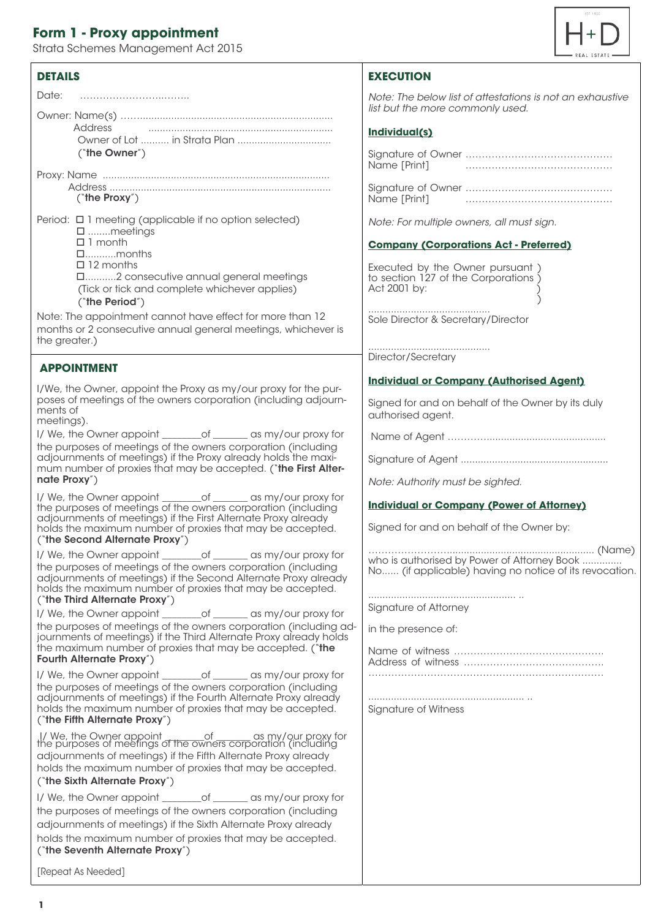# **Form 1 - Proxy appointment**

Strata Schemes Management Act 2015

## **DETAILS**

Owner: Name(s) ……....................................................................  *list but the more commonly used.* Address ................................................................. Owner of Lot .......... in Strata Plan ................................. ("the Owner") Proxy: Name ................................................................................ Address ..............................................................................

("the Proxy")

- Period:  $\Box$  1 meeting (applicable if no option selected) ........meetings □ 1 month ...........months
	- □ 12 months

...........2 consecutive annual general meetings (Tick or tick and complete whichever applies) ("the Period")

#### Note: The appointment cannot have effect for more than 12 months or 2 consecutive annual general meetings, whichever is the greater.)

## **APPOINTMENT**

I/We, the Owner, appoint the Proxy as my/our proxy for the purposes of meetings of the owners corporation (including adjournments of

meetings).

| I/ We, the Owner appoint                                       | $\circ$ of | as my/our proxy for |
|----------------------------------------------------------------|------------|---------------------|
| the purposes of meetings of the owners corporation (including  |            |                     |
| adjournments of meetings) if the Proxy already holds the maxi- |            |                     |
| mum number of proxies that may be accepted. ("the First Alter- |            |                     |
| nate Proxy")                                                   |            |                     |

I/ We, the Owner appoint \_\_\_\_\_\_\_\_of \_\_\_\_\_\_\_ as my/our proxy for the purposes of meetings of the owners corporation (including adjournments of meetings) if the First Alternate Proxy already holds the maximum number of proxies that may be accepted. ("the Second Alternate Proxy")

I/ We, the Owner appoint \_\_\_\_\_\_\_\_of \_\_\_\_\_\_\_ as my/our proxy for the purposes of meetings of the owners corporation (including adjournments of meetings) if the Second Alternate Proxy already holds the maximum number of proxies that may be accepted. ("the Third Alternate Proxy")

I/ We, the Owner appoint \_\_\_\_\_\_\_\_of \_\_\_\_\_\_\_ as my/our proxy for the purposes of meetings of the owners corporation (including adjournments of meetings) if the Third Alternate Proxy already holds the maximum number of proxies that may be accepted. ("the Fourth Alternate Proxy")

I/ We, the Owner appoint \_\_\_\_\_\_\_\_of \_\_\_\_\_\_ as my/our proxy for the purposes of meetings of the owners corporation (including adjournments of meetings) if the Fourth Alternate Proxy already holds the maximum number of proxies that may be accepted. ("the Fifth Alternate Proxy")

 I/ We, the Owner appoint \_\_\_\_\_\_\_\_of \_\_\_\_\_\_\_ as my/our proxy for the purposes of meetings of the owners corporation (including adjournments of meetings) if the Fifth Alternate Proxy already holds the maximum number of proxies that may be accepted. ("the Sixth Alternate Proxy")

| I/ We, the Owner appoint ________ of _______ as my/our proxy for |  |
|------------------------------------------------------------------|--|
| the purposes of meetings of the owners corporation (including    |  |
| adjournments of meetings) if the Sixth Alternate Proxy already   |  |
| holds the maximum number of proxies that may be accepted.        |  |
| ("the Seventh Alternate Proxy")                                  |  |

[Repeat As Needed]



# **EXECUTION**

| Date:          | Note: The below list of attestations is not an exhaustive |
|----------------|-----------------------------------------------------------|
| Owner: Name(s) | list but the more commonly used.                          |

#### **Individual(s)**

Signature of Owner ……………………………………… Name [Print] ………………………………………

Signature of Owner ……………………………………… Name [Print] ………………………………………

*Note: For multiple owners, all must sign.*

#### **Company (Corporations Act - Preferred)**

Executed by the Owner pursuant ) to section 127 of the Corporations ) Act 2001 by: ) and the contract of  $\overline{a}$ 

........................................... Sole Director & Secretary/Director

........................................... Director/Secretary

#### **Individual or Company (Authorised Agent)**

Signed for and on behalf of the Owner by its duly authorised agent.

Name of Agent …………..........................................

Signature of Agent ....................................................

*Note: Authority must be sighted.*

### **Individual or Company (Power of Attorney)**

Signed for and on behalf of the Owner by:

…………………….................................................... (Name) who is authorised by Power of Attorney Book ............ No...... (if applicable) having no notice of its revocation.

.................................................... .. Signature of Attorney

in the presence of:

Name of witness ………………………………………. Address of witness ……………………………………. ………………………………………………………………

....................................................... .. Signature of Witness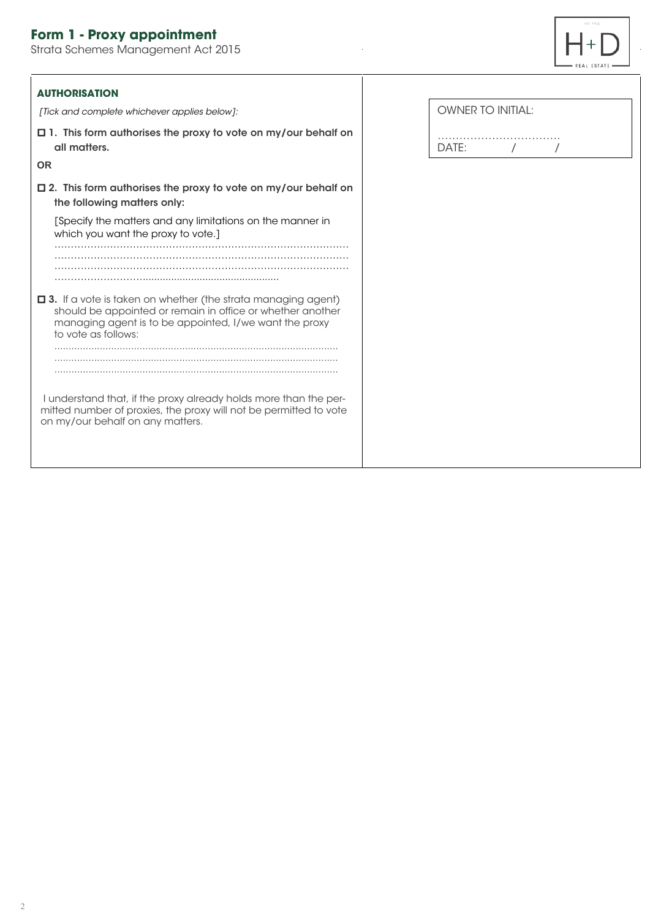# **Form 1 - Proxy appointment**

Strata Schemes Management Act 2015



 $\frac{1}{2}$ 

| <b>AUTHORISATION</b>                                                                                                                                                                                          |                          |
|---------------------------------------------------------------------------------------------------------------------------------------------------------------------------------------------------------------|--------------------------|
| [Tick and complete whichever applies below]:                                                                                                                                                                  | <b>OWNER TO INITIAL:</b> |
| $\Box$ 1. This form authorises the proxy to vote on my/our behalf on<br>all matters.                                                                                                                          | DATE:                    |
| <b>OR</b>                                                                                                                                                                                                     |                          |
| $\Box$ 2. This form authorises the proxy to vote on my/our behalf on<br>the following matters only:                                                                                                           |                          |
| [Specify the matters and any limitations on the manner in<br>which you want the proxy to vote.]                                                                                                               |                          |
|                                                                                                                                                                                                               |                          |
| □ 3. If a vote is taken on whether (the strata managing agent)<br>should be appointed or remain in office or whether another<br>managing agent is to be appointed, I/we want the proxy<br>to vote as follows: |                          |
|                                                                                                                                                                                                               |                          |
| I understand that, if the proxy already holds more than the per-<br>mitted number of proxies, the proxy will not be permitted to vote<br>on my/our behalf on any matters.                                     |                          |
|                                                                                                                                                                                                               |                          |

J.